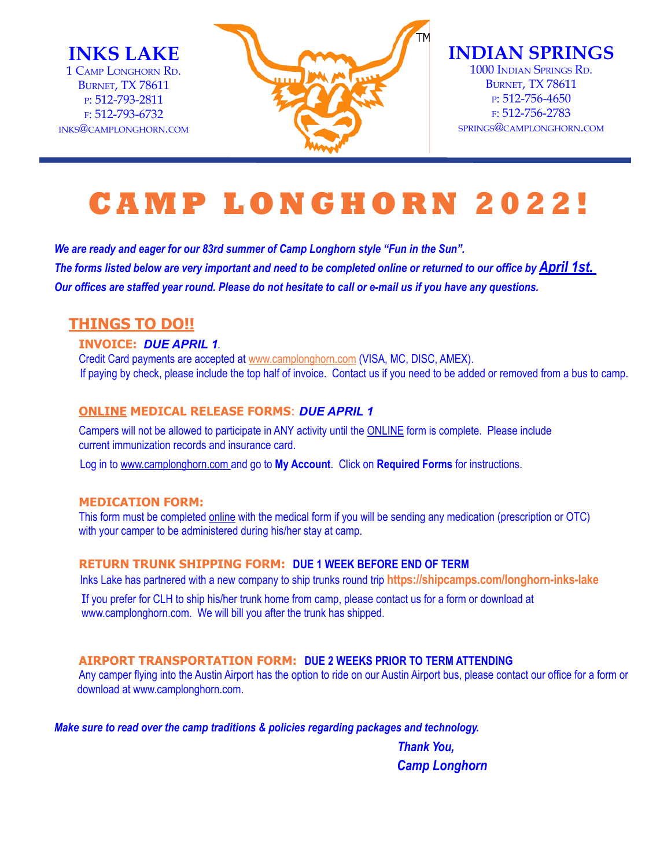**INKS LAKE** 1 Camp Longhorn Rd. **BURNET, TX 78611** p: 512-793-2811 f: 512-793-6732 inks@camplonghorn.com



**INDIAN SPRINGS** 1000 Indian Springs Rd. **BURNET, TX 78611** p: 512-756-4650 f: 512-756-2783 springs@camplonghorn.com

# **CAMP LONGHORN 2022!**

*We are ready and eager for our 83rd summer of Camp Longhorn style "Fun in the Sun". The forms listed below are very important and need to be completed online or returned to our office by April 1st. Our offices are staffed year round. Please do not hesitate to call or e-mail us if you have any questions.* 

# **THINGS TO DO!!**

#### **INVOICE:** *DUE APRIL 1.*

Credit Card payments are accepted at www.camplonghorn.com (VISA, MC, DISC, AMEX). If paying by check, please include the top half of invoice. Contact us if you need to be added or removed from a bus to camp.

### **ONLINE MEDICAL RELEASE FORMS**: *DUE APRIL 1*

Campers will not be allowed to participate in ANY activity until the ONLINE form is complete. Please include current immunization records and insurance card.

Log in to www.camplonghorn.com and go to **My Account**. Click on **Required Forms** for instructions.

## **MEDICATION FORM:**

This form must be completed online with the medical form if you will be sending any medication (prescription or OTC) with your camper to be administered during his/her stay at camp.

#### **RETURN TRUNK SHIPPING FORM: Due 1 week before end of term**

Inks Lake has partnered with a new company to ship trunks round trip **https://shipcamps.com/longhorn-inks-lake**

If you prefer for CLH to ship his/her trunk home from camp, please contact us for a form or download at www.camplonghorn.com. We will bill you after the trunk has shipped.

#### **AIRPORT TRANSPORTATION FORM: Due 2 weeks prior to term attending**

Any camper flying into the Austin Airport has the option to ride on our Austin Airport bus, please contact our office for a form or download at www.camplonghorn.com.

*Make sure to read over the camp traditions & policies regarding packages and technology.*

 *Thank You, Camp Longhorn*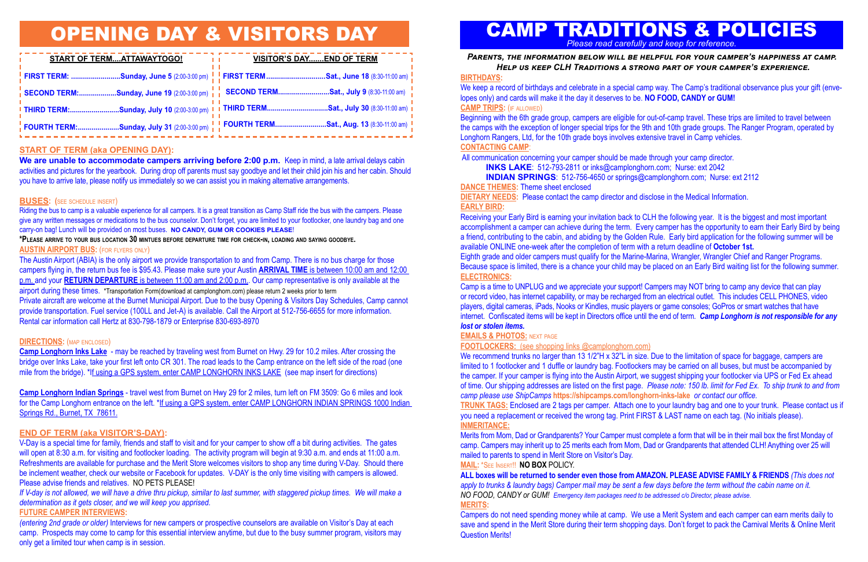# **START OF TERM (aka OPENING DAY):**

We are unable to accommodate campers arriving before 2:00 p.m. Keep in mind, a late arrival delays cabin activities and pictures for the yearbook. During drop off parents must say goodbye and let their child join his and her cabin. Should you have to arrive late, please notify us immediately so we can assist you in making alternative arrangements.

# **BUSES: (**see schedule insert)

Riding the bus to camp is a valuable experience for all campers. It is a great transition as Camp Staff ride the bus with the campers. Please give any written messages or medications to the bus counselor. Don't forget, you are limited to your footlocker, one laundry bag and one carry-on bag! Lunch will be provided on most buses. **NO CANDY, GUM OR COOKIES PLEASE**!

**\*Please arrive to your bus location 30 mintues before departure time for check-in, loading and saying goodbye. AUSTIN AIRPORT BUS:** (for flyers only)

The Austin Airport (ABIA) is the only airport we provide transportation to and from Camp. There is no bus charge for those campers flying in, the return bus fee is \$95.43. Please make sure your Austin **ARRIVAL TIME** is between 10:00 am and 12:00 p.m. and your **RETURN DEPARTURE** is between 11:00 am and 2:00 p.m.. Our camp representative is only available at the airport during these times. \*Transportation Form(download at camplonghorn.com) please return 2 weeks prior to term Private aircraft are welcome at the Burnet Municipal Airport. Due to the busy Opening & Visitors Day Schedules, Camp cannot provide transportation. Fuel service (100LL and Jet-A) is available. Call the Airport at 512-756-6655 for more information. Rental car information call Hertz at 830-798-1879 or Enterprise 830-693-8970

# **DIRECTIONS:** (map enclosed)

**Camp Longhorn Inks Lake** - may be reached by traveling west from Burnet on Hwy. 29 for 10.2 miles. After crossing the bridge over Inks Lake, take your first left onto CR 301. The road leads to the Camp entrance on the left side of the road (one mile from the bridge). \*If using a GPS system, enter CAMP LONGHORN INKS LAKE (see map insert for directions)

We keep a record of birthdays and celebrate in a special camp way. The Camp's traditional observance plus your gift (envelopes only) and cards will make it the day it deserves to be. **NO FOOD, CANDY or GUM! CAMP TRIPS:** (if allowed)

**Camp Longhorn Indian Springs** - travel west from Burnet on Hwy 29 for 2 miles, turn left on FM 3509: Go 6 miles and look for the Camp Longhorn entrance on the left. \*If using a GPS system, enter CAMP LONGHORN INDIAN SPRINGS 1000 Indian Springs Rd., Burnet, TX 78611.

# **END OF TERM (aka VISITOR'S-DAY):**

V-Day is a special time for family, friends and staff to visit and for your camper to show off a bit during activities.The gates will open at 8:30 a.m. for visiting and footlocker loading. The activity program will begin at 9:30 a.m. and ends at 11:00 a.m. Refreshments are available for purchase and the Merit Store welcomes visitors to shop any time during V-Day. Should there be inclement weather, check our website or Facebook for updates. V-DAY is the only time visiting with campers is allowed. Please advise friends and relatives. NO PETS PLEASE!

*If V-day is not allowed, we will have a drive thru pickup, similar to last summer, with staggered pickup times. We will make a determination as it gets closer, and we will keep you apprised.*

# **FUTURE CAMPER INTERVIEWS:**

*(entering 2nd grade or older)* Interviews for new campers or prospective counselors are available on Visitor's Day at each camp. Prospects may come to camp for this essential interview anytime, but due to the busy summer program, visitors may only get a limited tour when camp is in session.



# OPENING DAY & VISITORS DAY

**FOOTLOCKERS:** (see shopping links @camplonghorn.com) We recommend trunks no larger than 13 1/2"H x 32"L in size. Due to the limitation of space for baggage, campers are limited to 1 footlocker and 1 duffle or laundry bag. Footlockers may be carried on all buses, but must be accompanied by the camper. If your camper is flying into the Austin Airport, we suggest shipping your footlocker via UPS or Fed Ex ahead of time. Our shipping addresses are listed on the first page. *Please note: 150 lb. limit for Fed Ex. To ship trunk to and from camp please use ShipCamps* **https://shipcamps.com/longhorn-inks-lake** *or contact our office.*  **TRUNK TAGS:** Enclosed are 2 tags per camper. Attach one to your laundry bag and one to your trunk. Please contact us if you need a replacement or received the wrong tag. Print FIRST & LAST name on each tag. (No initials please). **INMERITANCE:**

| START OF TERMATTAWAYTOGO!                                                                                                                        | <b>VISITOR'S DAYEND OF TERM</b> |
|--------------------------------------------------------------------------------------------------------------------------------------------------|---------------------------------|
| <mark>!FIRST TERM: ………………………Sunday, June 5</mark> (2:00-3:00 pm) <mark>!!FIRST TERM…………………………Sat., June 18</mark> (8:30-11:00 am) <mark>,</mark> |                                 |
| <mark>!</mark> SECOND TERM:…………………Sunday, June 19 (2:00-3:00 pm)    SECOND TERM………………………Sat., July 9 (8:30-11:00 am)                             |                                 |
| .<br><mark>!</mark> THIRD TERM:Sunday, July 10 (2:00-3:00 pm) <mark>!</mark> I THIRD TERMSat., July 30 (8:30-11:00 am) <mark>!</mark><br>"       |                                 |
|                                                                                                                                                  |                                 |

# CAMP TRADITIONS & POLICIES *Please read carefully and keep for reference.*

## **BIRTHDAYS:**

Beginning with the 6th grade group, campers are eligible for out-of-camp travel. These trips are limited to travel between the camps with the exception of longer special trips for the 9th and 10th grade groups. The Ranger Program, operated by Longhorn Rangers, Ltd, for the 10th grade boys involves extensive travel in Camp vehicles. **CONTACTING CAMP**:

All communication concerning your camper should be made through your camp director. **INKS LAKE**: 512-793-2811 or inks@camplonghorn.com; Nurse: ext 2042 **INDIAN SPRINGS**: 512-756-4650 or springs@camplonghorn.com; Nurse: ext 2112

**DANCE THEMES:** Theme sheet enclosed

**DIETARY NEEDS:** Please contact the camp director and disclose in the Medical Information. **EARLY BIRD:**

Receiving your Early Bird is earning your invitation back to CLH the following year. It is the biggest and most important accomplishment a camper can achieve during the term. Every camper has the opportunity to earn their Early Bird by being a friend, contributing to the cabin, and abiding by the Golden Rule. Early bird application for the following summer will be available ONLINE one-week after the completion of term with a return deadline of **October 1st.** Eighth grade and older campers must qualify for the Marine-Marina, Wrangler, Wrangler Chief and Ranger Programs. Because space is limited, there is a chance your child may be placed on an Early Bird waiting list for the following summer. **ELECTRONICS:**

Camp is a time to UNPLUG and we appreciate your support! Campers may NOT bring to camp any device that can play or record video, has internet capability, or may be recharged from an electrical outlet. This includes CELL PHONES, video players, digital cameras, iPads, Nooks or Kindles, music players or game consoles; GoPros or smart watches that have internet. Confiscated items will be kept in Directors office until the end of term. *Camp Longhorn is not responsible for any lost or stolen items.* 

## **EMAILS & PHOTOS:** next page

Merits from Mom, Dad or Grandparents? Your Camper must complete a form that will be in their mail box the first Monday of camp. Campers may inherit up to 25 merits each from Mom, Dad or Grandparents that attended CLH! Anything over 25 will mailed to parents to spend in Merit Store on Visitor's Day. **MAIL:** \*See Insert!! **NO BOX** policy.

**ALL boxes will be returned to sender even those from AMAZON. PLEASE ADVISE FAMILY & FRIENDS** *(This does not*  apply to trunks & laundry bags) Camper mail may be sent a few days before the term without the cabin name on it. *NO FOOD, CANDY or GUM! Emergency item packages need to be addressed c/o Director, please advise.* **MERITS:**

Campers do not need spending money while at camp. We use a Merit System and each camper can earn merits daily to save and spend in the Merit Store during their term shopping days. Don't forget to pack the Carnival Merits & Online Merit Question Merits!

*Parents, the information below will be helpful for your camper's happiness at camp. Help us keep CLH Traditions a strong part of your camper's experience.*